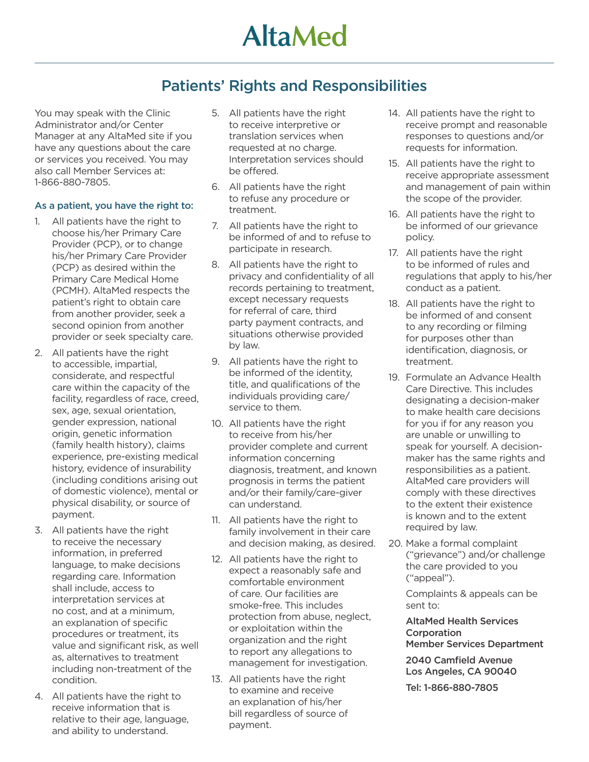## **AltaMed**

## Patients' Rights and Responsibilities

You may speak with the Clinic Administrator and/or Center Manager at any AltaMed site if you have any questions about the care or services you received. You may also call Member Services at: 1-866-880-7805.

## As a patient, you have the right to:

- 1. All patients have the right to choose his/her Primary Care Provider (PCP), or to change his/her Primary Care Provider (PCP) as desired within the Primary Care Medical Home (PCMH). AltaMed respects the patient's right to obtain care from another provider, seek a second opinion from another provider or seek specialty care.
- 2. All patients have the right to accessible, impartial, considerate, and respectful care within the capacity of the facility, regardless of race, creed, sex, age, sexual orientation, gender expression, national origin, genetic information (family health history), claims experience, pre-existing medical history, evidence of insurability (including conditions arising out of domestic violence), mental or physical disability, or source of payment.
- 3. All patients have the right to receive the necessary information, in preferred language, to make decisions regarding care. Information shall include, access to interpretation services at no cost, and at a minimum, an explanation of specific procedures or treatment, its value and significant risk, as well as, alternatives to treatment including non-treatment of the condition.
- 4. All patients have the right to receive information that is relative to their age, language, and ability to understand.
- 5. All patients have the right to receive interpretive or translation services when requested at no charge. Interpretation services should be offered.
- 6. All patients have the right to refuse any procedure or treatment.
- 7. All patients have the right to be informed of and to refuse to participate in research.
- 8. All patients have the right to privacy and confidentiality of all records pertaining to treatment, except necessary requests for referral of care, third party payment contracts, and situations otherwise provided by law.
- 9. All patients have the right to be informed of the identity, title, and qualifications of the individuals providing care/ service to them.
- 10. All patients have the right to receive from his/her provider complete and current information concerning diagnosis, treatment, and known prognosis in terms the patient and/or their family/care-giver can understand.
- 11. All patients have the right to family involvement in their care and decision making, as desired.
- 12. All patients have the right to expect a reasonably safe and comfortable environment of care. Our facilities are smoke-free. This includes protection from abuse, neglect, or exploitation within the organization and the right to report any allegations to management for investigation.
- 13. All patients have the right to examine and receive an explanation of his/her bill regardless of source of payment.
- 14. All patients have the right to receive prompt and reasonable responses to questions and/or requests for information.
- 15. All patients have the right to receive appropriate assessment and management of pain within the scope of the provider.
- 16. All patients have the right to be informed of our grievance policy.
- 17. All patients have the right to be informed of rules and regulations that apply to his/her conduct as a patient.
- 18. All patients have the right to be informed of and consent to any recording or filming for purposes other than identification, diagnosis, or treatment.
- 19. Formulate an Advance Health Care Directive. This includes designating a decision-maker to make health care decisions for you if for any reason you are unable or unwilling to speak for yourself. A decisionmaker has the same rights and responsibilities as a patient. AltaMed care providers will comply with these directives to the extent their existence is known and to the extent required by law.
- 20. Make a formal complaint ("grievance") and/or challenge the care provided to you ("appeal").

Complaints & appeals can be sent to:

AltaMed Health Services **Corporation** Member Services Department

2040 Camfield Avenue Los Angeles, CA 90040

Tel: 1-866-880-7805